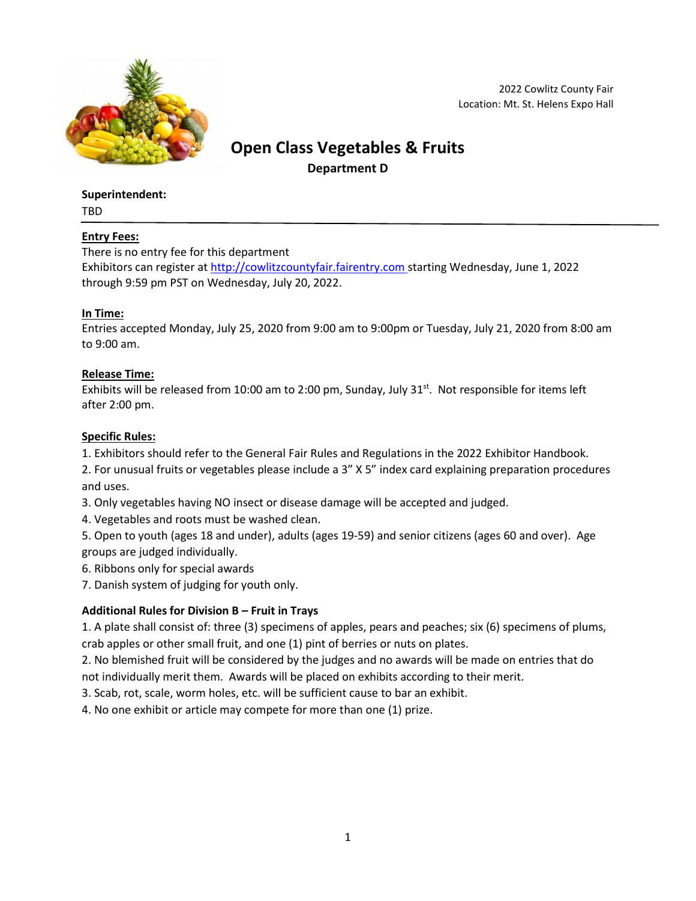

2022 Cowlitz County Fair Location: Mt. St. Helens Expo Hall

# **Open Class Vegetables & Fruits Department D**

#### **Superintendent:**

TBD

# **Entry Fees:**

There is no entry fee for this department

Exhibitors can register at [http://cowlitzcountyfair.fairentry.com](http://cowlitzcountyfair.fairentry.com/) starting Wednesday, June 1, 2022 through 9:59 pm PST on Wednesday, July 20, 2022.

# **In Time:**

Entries accepted Monday, July 25, 2020 from 9:00 am to 9:00pm or Tuesday, July 21, 2020 from 8:00 am to 9:00 am.

# **Release Time:**

Exhibits will be released from 10:00 am to 2:00 pm, Sunday, July 31 $st$ . Not responsible for items left after 2:00 pm.

# **Specific Rules:**

1. Exhibitors should refer to the General Fair Rules and Regulations in the 2022 Exhibitor Handbook.

2. For unusual fruits or vegetables please include a 3" X 5" index card explaining preparation procedures and uses.

3. Only vegetables having NO insect or disease damage will be accepted and judged.

4. Vegetables and roots must be washed clean.

5. Open to youth (ages 18 and under), adults (ages 19-59) and senior citizens (ages 60 and over). Age groups are judged individually.

6. Ribbons only for special awards

7. Danish system of judging for youth only.

# **Additional Rules for Division B – Fruit in Trays**

1. A plate shall consist of: three (3) specimens of apples, pears and peaches; six (6) specimens of plums, crab apples or other small fruit, and one (1) pint of berries or nuts on plates.

2. No blemished fruit will be considered by the judges and no awards will be made on entries that do not individually merit them. Awards will be placed on exhibits according to their merit.

3. Scab, rot, scale, worm holes, etc. will be sufficient cause to bar an exhibit.

4. No one exhibit or article may compete for more than one (1) prize.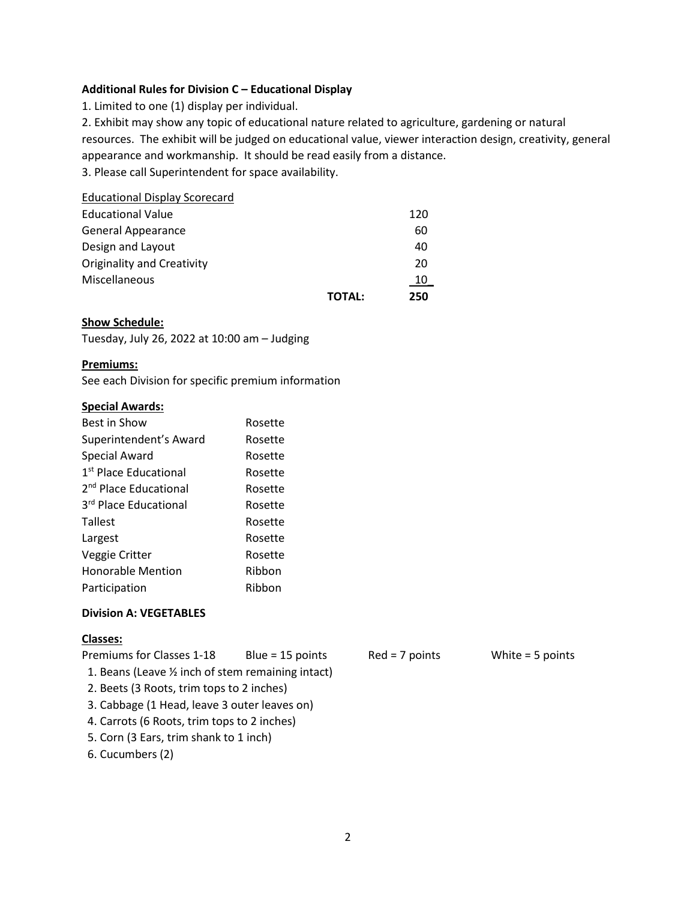#### **Additional Rules for Division C – Educational Display**

1. Limited to one (1) display per individual.

2. Exhibit may show any topic of educational nature related to agriculture, gardening or natural resources. The exhibit will be judged on educational value, viewer interaction design, creativity, general appearance and workmanship. It should be read easily from a distance.

3. Please call Superintendent for space availability.

| <b>TOTAL:</b>                        | 250 |
|--------------------------------------|-----|
| Miscellaneous                        | 10  |
| <b>Originality and Creativity</b>    | 20  |
| Design and Layout                    | 40  |
| General Appearance                   | 60  |
| <b>Educational Value</b>             | 120 |
| <b>Educational Display Scorecard</b> |     |

#### **Show Schedule:**

Tuesday, July 26, 2022 at 10:00 am – Judging

#### **Premiums:**

See each Division for specific premium information

#### **Special Awards:**

| <b>Best in Show</b>               | Rosette |
|-----------------------------------|---------|
| Superintendent's Award            | Rosette |
| <b>Special Award</b>              | Rosette |
| 1 <sup>st</sup> Place Educational | Rosette |
| 2 <sup>nd</sup> Place Educational | Rosette |
| 3 <sup>rd</sup> Place Educational | Rosette |
| <b>Tallest</b>                    | Rosette |
| Largest                           | Rosette |
| Veggie Critter                    | Rosette |
| <b>Honorable Mention</b>          | Ribbon  |
| Participation                     | Ribbon  |

#### **Division A: VEGETABLES**

#### **Classes:**

Premiums for Classes 1-18 Blue = 15 points Red = 7 points White = 5 points

- 1. Beans (Leave ½ inch of stem remaining intact)
- 2. Beets (3 Roots, trim tops to 2 inches)
- 3. Cabbage (1 Head, leave 3 outer leaves on)
- 4. Carrots (6 Roots, trim tops to 2 inches)
- 5. Corn (3 Ears, trim shank to 1 inch)
- 6. Cucumbers (2)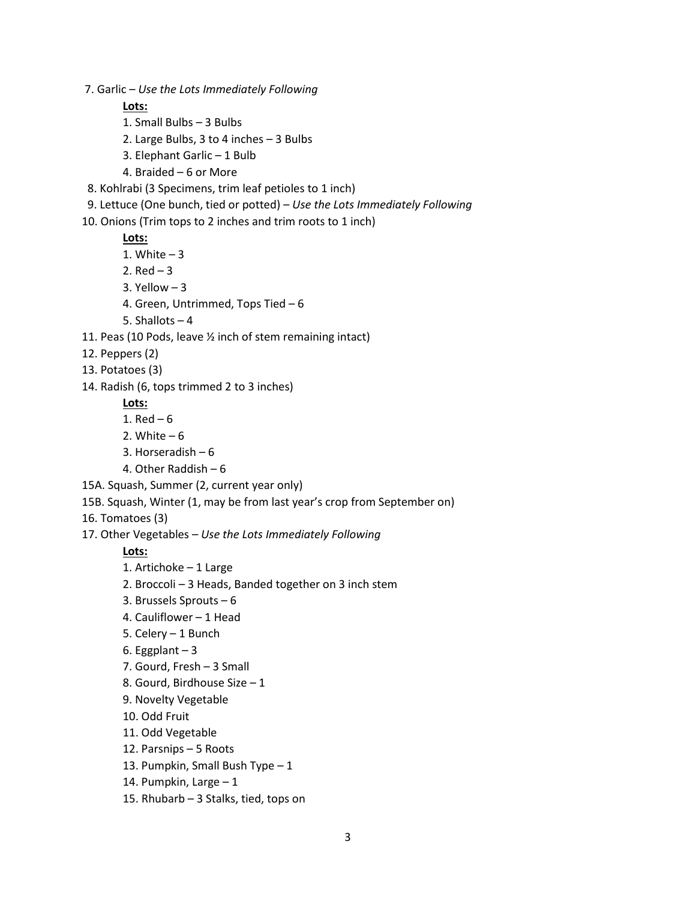7. Garlic – *Use the Lots Immediately Following*

**Lots:**

- 1. Small Bulbs 3 Bulbs
- 2. Large Bulbs, 3 to 4 inches 3 Bulbs
- 3. Elephant Garlic 1 Bulb
- 4. Braided 6 or More
- 8. Kohlrabi (3 Specimens, trim leaf petioles to 1 inch)
- 9. Lettuce (One bunch, tied or potted) *Use the Lots Immediately Following*

10. Onions (Trim tops to 2 inches and trim roots to 1 inch)

#### **Lots:**

- 1. White  $-3$
- 2.  $Red-3$
- 3. Yellow 3
- 4. Green, Untrimmed, Tops Tied 6
- 5. Shallots 4
- 11. Peas (10 Pods, leave ½ inch of stem remaining intact)
- 12. Peppers (2)
- 13. Potatoes (3)
- 14. Radish (6, tops trimmed 2 to 3 inches)

# **Lots:**

- 1.  $Red-6$
- 2. White  $-6$
- 3. Horseradish 6
- 4. Other Raddish 6
- 15A. Squash, Summer (2, current year only)
- 15B. Squash, Winter (1, may be from last year's crop from September on)
- 16. Tomatoes (3)
- 17. Other Vegetables *Use the Lots Immediately Following*

### **Lots:**

- 1. Artichoke 1 Large
- 2. Broccoli 3 Heads, Banded together on 3 inch stem
- 3. Brussels Sprouts 6
- 4. Cauliflower 1 Head
- 5. Celery 1 Bunch
- 6. Eggplant  $-3$
- 7. Gourd, Fresh 3 Small
- 8. Gourd, Birdhouse Size 1
- 9. Novelty Vegetable
- 10. Odd Fruit
- 11. Odd Vegetable
- 12. Parsnips 5 Roots
- 13. Pumpkin, Small Bush Type 1
- 14. Pumpkin, Large 1
- 15. Rhubarb 3 Stalks, tied, tops on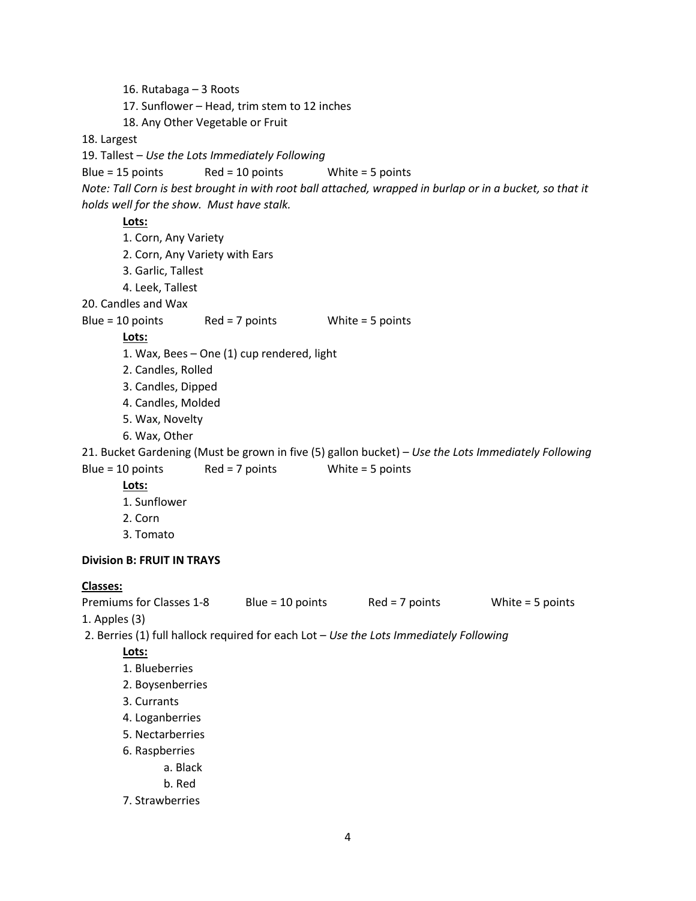16. Rutabaga – 3 Roots

17. Sunflower – Head, trim stem to 12 inches

18. Any Other Vegetable or Fruit

18. Largest

19. Tallest – *Use the Lots Immediately Following*

Blue = 15 points Red = 10 points White = 5 points

*Note: Tall Corn is best brought in with root ball attached, wrapped in burlap or in a bucket, so that it holds well for the show. Must have stalk.*

# **Lots:**

1. Corn, Any Variety

2. Corn, Any Variety with Ears

3. Garlic, Tallest

4. Leek, Tallest

20. Candles and Wax

Blue = 10 points Red = 7 points White = 5 points

**Lots:**

- 1. Wax, Bees One (1) cup rendered, light
- 2. Candles, Rolled
- 3. Candles, Dipped
- 4. Candles, Molded
- 5. Wax, Novelty
- 6. Wax, Other

21. Bucket Gardening (Must be grown in five (5) gallon bucket) – *Use the Lots Immediately Following* Blue =  $10$  points Red = 7 points White = 5 points

# **Lots:**

- 1. Sunflower
- 2. Corn
- 3. Tomato

# **Division B: FRUIT IN TRAYS**

### **Classes:**

Premiums for Classes 1-8 Blue = 10 points Red = 7 points White = 5 points

1. Apples (3)

2. Berries (1) full hallock required for each Lot – *Use the Lots Immediately Following*

# **Lots:**

- 1. Blueberries
- 2. Boysenberries
- 3. Currants
- 4. Loganberries
- 5. Nectarberries
- 6. Raspberries
	- a. Black
		- b. Red
- 7. Strawberries